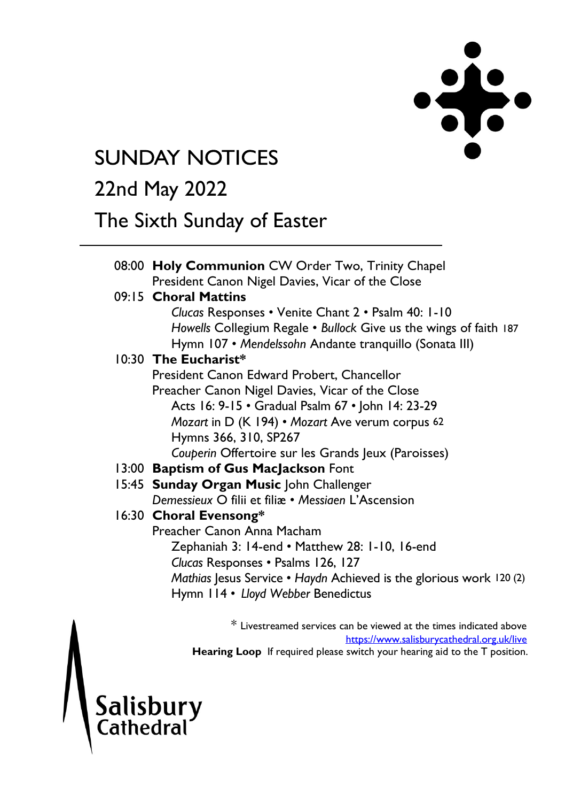

# **SUNDAY NOTICES**

# 22nd May 2022

## The Sixth Sunday of Easter

| 08:00 Holy Communion CW Order Two, Trinity Chapel                                             |  |  |
|-----------------------------------------------------------------------------------------------|--|--|
| President Canon Nigel Davies, Vicar of the Close                                              |  |  |
| 09:15 Choral Mattins<br>Clucas Responses • Venite Chant 2 • Psalm 40: 1-10                    |  |  |
|                                                                                               |  |  |
| Howells Collegium Regale • Bullock Give us the wings of faith 187                             |  |  |
| Hymn 107 • Mendelssohn Andante tranquillo (Sonata III)<br>10:30 The Eucharist*                |  |  |
|                                                                                               |  |  |
| President Canon Edward Probert, Chancellor                                                    |  |  |
| Preacher Canon Nigel Davies, Vicar of the Close                                               |  |  |
| Acts 16: 9-15 • Gradual Psalm 67 • John 14: 23-29                                             |  |  |
| Mozart in D (K 194) • Mozart Ave verum corpus 62                                              |  |  |
| Hymns 366, 310, SP267                                                                         |  |  |
| Couperin Offertoire sur les Grands Jeux (Paroisses)                                           |  |  |
| 13:00 Baptism of Gus MacJackson Font                                                          |  |  |
| 15:45 Sunday Organ Music John Challenger                                                      |  |  |
| Demessieux O filii et filiæ • Messiaen L'Ascension                                            |  |  |
| 16:30 Choral Evensong*                                                                        |  |  |
| Preacher Canon Anna Macham                                                                    |  |  |
| Zephaniah 3: 14-end • Matthew 28: 1-10, 16-end                                                |  |  |
| Clucas Responses • Psalms 126, 127                                                            |  |  |
| Mathias Jesus Service • Haydn Achieved is the glorious work 120 (2)                           |  |  |
| Hymn 114 • Lloyd Webber Benedictus                                                            |  |  |
|                                                                                               |  |  |
| 36. I to configure and a constance about the potential and also interest to discuss disclosed |  |  |

Livestreamed services can be viewed at the times indicated above <https://www.salisburycathedral.org.uk/live> Hearing Loop If required please switch your hearing aid to the T position.

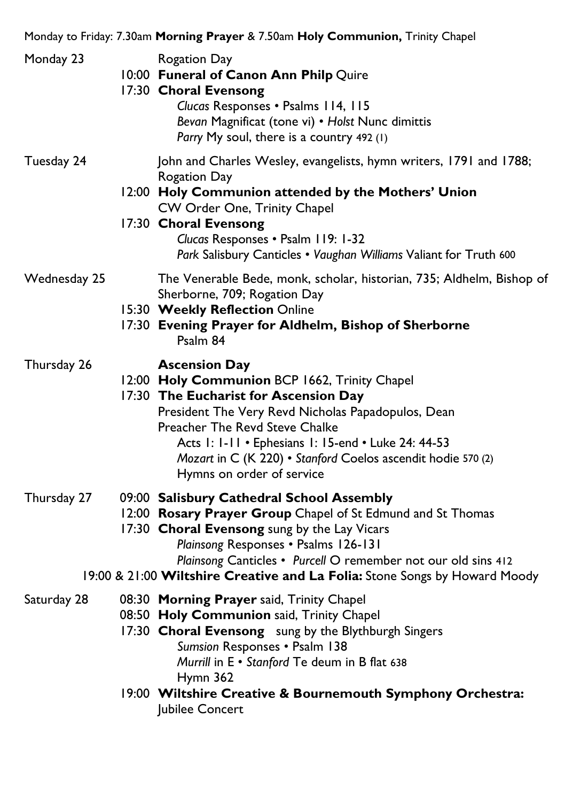Monday to Friday: 7.30am **Morning Prayer** & 7.50am **Holy Communion,** Trinity Chapel

| Monday 23    | Rogation Day<br>10:00 Funeral of Canon Ann Philp Quire<br>17:30 Choral Evensong<br>Clucas Responses . Psalms 114, 115<br>Bevan Magnificat (tone vi) • Holst Nunc dimittis<br>Parry My soul, there is a country 492 (1)                                                                                                                                     |
|--------------|------------------------------------------------------------------------------------------------------------------------------------------------------------------------------------------------------------------------------------------------------------------------------------------------------------------------------------------------------------|
| Tuesday 24   | John and Charles Wesley, evangelists, hymn writers, 1791 and 1788;<br>Rogation Day<br>12:00 Holy Communion attended by the Mothers' Union<br>CW Order One, Trinity Chapel<br>17:30 Choral Evensong<br>Clucas Responses . Psalm 119: 1-32<br>Park Salisbury Canticles . Vaughan Williams Valiant for Truth 600                                              |
| Wednesday 25 | The Venerable Bede, monk, scholar, historian, 735; Aldhelm, Bishop of<br>Sherborne, 709; Rogation Day<br>15:30 Weekly Reflection Online<br>17:30 Evening Prayer for Aldhelm, Bishop of Sherborne<br>Psalm 84                                                                                                                                               |
| Thursday 26  | <b>Ascension Day</b><br>12:00 Holy Communion BCP 1662, Trinity Chapel<br>17:30 The Eucharist for Ascension Day<br>President The Very Revd Nicholas Papadopulos, Dean<br>Preacher The Revd Steve Chalke<br>Acts 1: 1-11 • Ephesians 1: 15-end • Luke 24: 44-53<br>Mozart in C (K 220) • Stanford Coelos ascendit hodie 570 (2)<br>Hymns on order of service |
| Thursday 27  | 09:00 Salisbury Cathedral School Assembly<br>12:00 Rosary Prayer Group Chapel of St Edmund and St Thomas<br>17:30 Choral Evensong sung by the Lay Vicars<br>Plainsong Responses . Psalms 126-131<br>Plainsong Canticles • Purcell O remember not our old sins 412<br>19:00 & 21:00 Wiltshire Creative and La Folia: Stone Songs by Howard Moody            |
| Saturday 28  | 08:30 Morning Prayer said, Trinity Chapel<br>08:50 Holy Communion said, Trinity Chapel<br>17:30 Choral Evensong sung by the Blythburgh Singers<br>Sumsion Responses . Psalm 138<br>Murrill in E . Stanford Te deum in B flat 638<br>Hymn 362<br>19:00 Wiltshire Creative & Bournemouth Symphony Orchestra:<br>Jubilee Concert                              |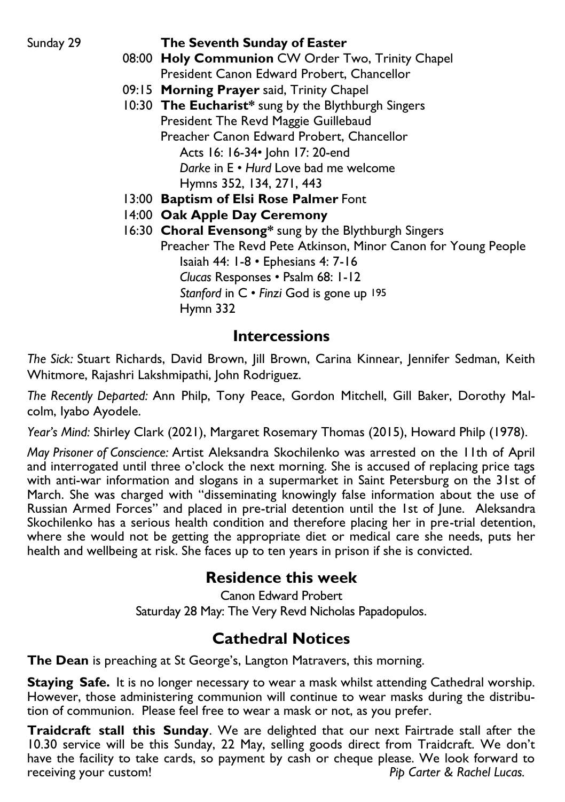#### Sunday 29 **The Seventh Sunday of Easter**

- 08:00 **Holy Communion** CW Order Two, Trinity Chapel President Canon Edward Probert, Chancellor
- 09:15 **Morning Prayer** said, Trinity Chapel
- 10:30 **The Eucharist\*** sung by the Blythburgh Singers President The Revd Maggie Guillebaud Preacher Canon Edward Probert, Chancellor Acts 16: 16-34• John 17: 20-end *Darke* in E • *Hurd* Love bad me welcome
	- Hymns 352, 134, 271, 443
- 13:00 **Baptism of Elsi Rose Palmer** Font
- 14:00 **Oak Apple Day Ceremony**
- 16:30 **Choral Evensong\*** sung by the Blythburgh Singers Preacher The Revd Pete Atkinson, Minor Canon for Young People Isaiah 44: 1-8 • Ephesians 4: 7-16 *Clucas* Responses • Psalm 68: 1-12 *Stanford* in C • *Finzi* God is gone up 195 Hymn 332

### **Intercessions**

*The Sick:* Stuart Richards, David Brown, Jill Brown, Carina Kinnear, Jennifer Sedman, Keith Whitmore, Rajashri Lakshmipathi, John Rodriguez.

*The Recently Departed:* Ann Philp, Tony Peace, Gordon Mitchell, Gill Baker, Dorothy Malcolm, Iyabo Ayodele.

*Year's Mind:* Shirley Clark (2021), Margaret Rosemary Thomas (2015), Howard Philp (1978).

*May Prisoner of Conscience:* Artist Aleksandra Skochilenko was arrested on the 11th of April and interrogated until three o'clock the next morning. She is accused of replacing price tags with anti-war information and slogans in a supermarket in Saint Petersburg on the 31st of March. She was charged with "disseminating knowingly false information about the use of Russian Armed Forces" and placed in pre-trial detention until the 1st of June. Aleksandra Skochilenko has a serious health condition and therefore placing her in pre-trial detention, where she would not be getting the appropriate diet or medical care she needs, puts her health and wellbeing at risk. She faces up to ten years in prison if she is convicted.

## **Residence this week**

Canon Edward Probert Saturday 28 May: The Very Revd Nicholas Papadopulos.

## **Cathedral Notices**

**The Dean** is preaching at St George's, Langton Matravers, this morning.

**Staying Safe.** It is no longer necessary to wear a mask whilst attending Cathedral worship. However, those administering communion will continue to wear masks during the distribution of communion. Please feel free to wear a mask or not, as you prefer.

**Traidcraft stall this Sunday**. We are delighted that our next Fairtrade stall after the 10.30 service will be this Sunday, 22 May, selling goods direct from Traidcraft. We don't have the facility to take cards, so payment by cash or cheque please. We look forward to receiving your custom! *Pip Carter & Rachel Lucas.*